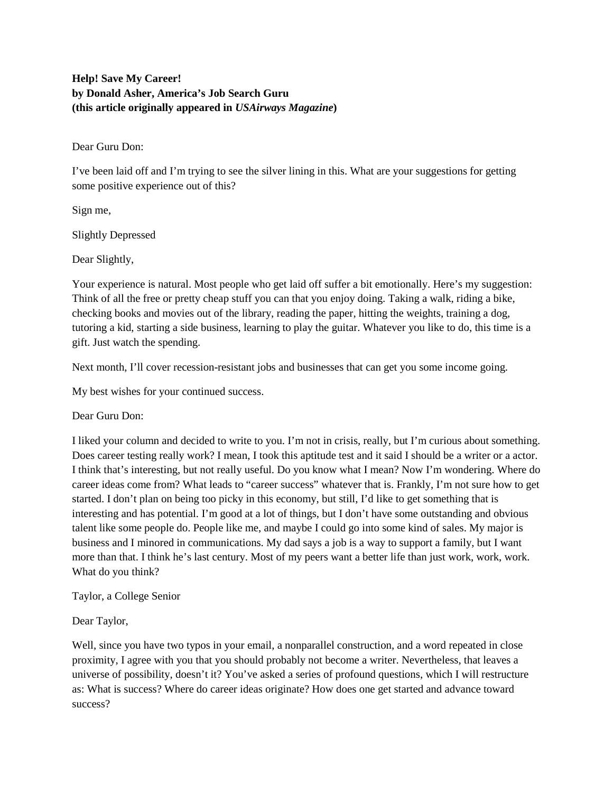## **Help! Save My Career! by Donald Asher, America's Job Search Guru (this article originally appeared in** *USAirways Magazine***)**

Dear Guru Don:

I've been laid off and I'm trying to see the silver lining in this. What are your suggestions for getting some positive experience out of this?

Sign me,

Slightly Depressed

Dear Slightly,

Your experience is natural. Most people who get laid off suffer a bit emotionally. Here's my suggestion: Think of all the free or pretty cheap stuff you can that you enjoy doing. Taking a walk, riding a bike, checking books and movies out of the library, reading the paper, hitting the weights, training a dog, tutoring a kid, starting a side business, learning to play the guitar. Whatever you like to do, this time is a gift. Just watch the spending.

Next month, I'll cover recession-resistant jobs and businesses that can get you some income going.

My best wishes for your continued success.

Dear Guru Don:

I liked your column and decided to write to you. I'm not in crisis, really, but I'm curious about something. Does career testing really work? I mean, I took this aptitude test and it said I should be a writer or a actor. I think that's interesting, but not really useful. Do you know what I mean? Now I'm wondering. Where do career ideas come from? What leads to "career success" whatever that is. Frankly, I'm not sure how to get started. I don't plan on being too picky in this economy, but still, I'd like to get something that is interesting and has potential. I'm good at a lot of things, but I don't have some outstanding and obvious talent like some people do. People like me, and maybe I could go into some kind of sales. My major is business and I minored in communications. My dad says a job is a way to support a family, but I want more than that. I think he's last century. Most of my peers want a better life than just work, work, work. What do you think?

Taylor, a College Senior

Dear Taylor,

Well, since you have two typos in your email, a nonparallel construction, and a word repeated in close proximity, I agree with you that you should probably not become a writer. Nevertheless, that leaves a universe of possibility, doesn't it? You've asked a series of profound questions, which I will restructure as: What is success? Where do career ideas originate? How does one get started and advance toward success?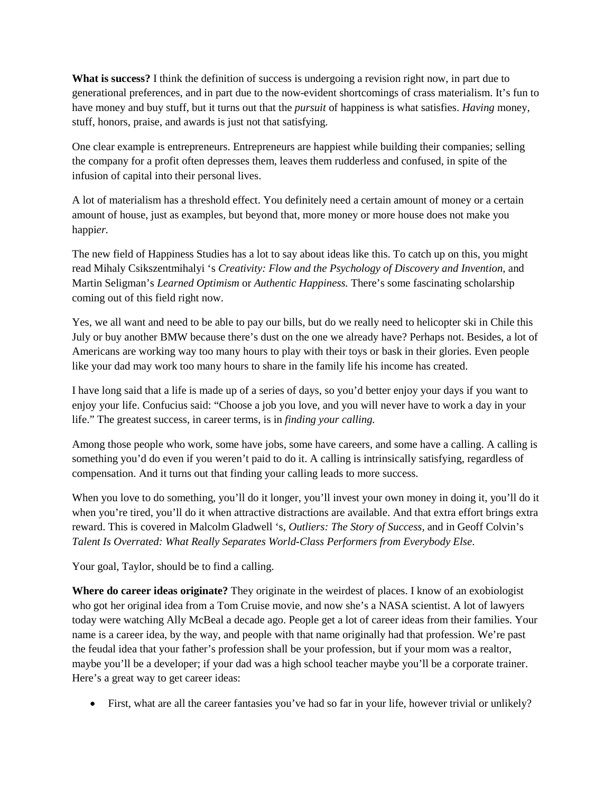**What is success?** I think the definition of success is undergoing a revision right now, in part due to generational preferences, and in part due to the now-evident shortcomings of crass materialism. It's fun to have money and buy stuff, but it turns out that the *pursuit* of happiness is what satisfies. *Having* money, stuff, honors, praise, and awards is just not that satisfying.

One clear example is entrepreneurs. Entrepreneurs are happiest while building their companies; selling the company for a profit often depresses them, leaves them rudderless and confused, in spite of the infusion of capital into their personal lives.

A lot of materialism has a threshold effect. You definitely need a certain amount of money or a certain amount of house, just as examples, but beyond that, more money or more house does not make you happi*er.* 

The new field of Happiness Studies has a lot to say about ideas like this. To catch up on this, you might read Mihaly Csikszentmihalyi 's *Creativity: Flow and the Psychology of Discovery and Invention,* and Martin Seligman's *Learned Optimism* or *Authentic Happiness.* There's some fascinating scholarship coming out of this field right now.

Yes, we all want and need to be able to pay our bills, but do we really need to helicopter ski in Chile this July or buy another BMW because there's dust on the one we already have? Perhaps not. Besides, a lot of Americans are working way too many hours to play with their toys or bask in their glories. Even people like your dad may work too many hours to share in the family life his income has created.

I have long said that a life is made up of a series of days, so you'd better enjoy your days if you want to enjoy your life. Confucius said: "Choose a job you love, and you will never have to work a day in your life." The greatest success, in career terms, is in *finding your calling.*

Among those people who work, some have jobs, some have careers, and some have a calling. A calling is something you'd do even if you weren't paid to do it. A calling is intrinsically satisfying, regardless of compensation. And it turns out that finding your calling leads to more success.

When you love to do something, you'll do it longer, you'll invest your own money in doing it, you'll do it when you're tired, you'll do it when attractive distractions are available. And that extra effort brings extra reward. This is covered in Malcolm Gladwell 's, *Outliers: The Story of Success,* and in Geoff Colvin's *Talent Is Overrated: What Really Separates World-Class Performers from Everybody Else*.

Your goal, Taylor, should be to find a calling.

**Where do career ideas originate?** They originate in the weirdest of places. I know of an exobiologist who got her original idea from a Tom Cruise movie, and now she's a NASA scientist. A lot of lawyers today were watching Ally McBeal a decade ago. People get a lot of career ideas from their families. Your name is a career idea, by the way, and people with that name originally had that profession. We're past the feudal idea that your father's profession shall be your profession, but if your mom was a realtor, maybe you'll be a developer; if your dad was a high school teacher maybe you'll be a corporate trainer. Here's a great way to get career ideas:

• First, what are all the career fantasies you've had so far in your life, however trivial or unlikely?